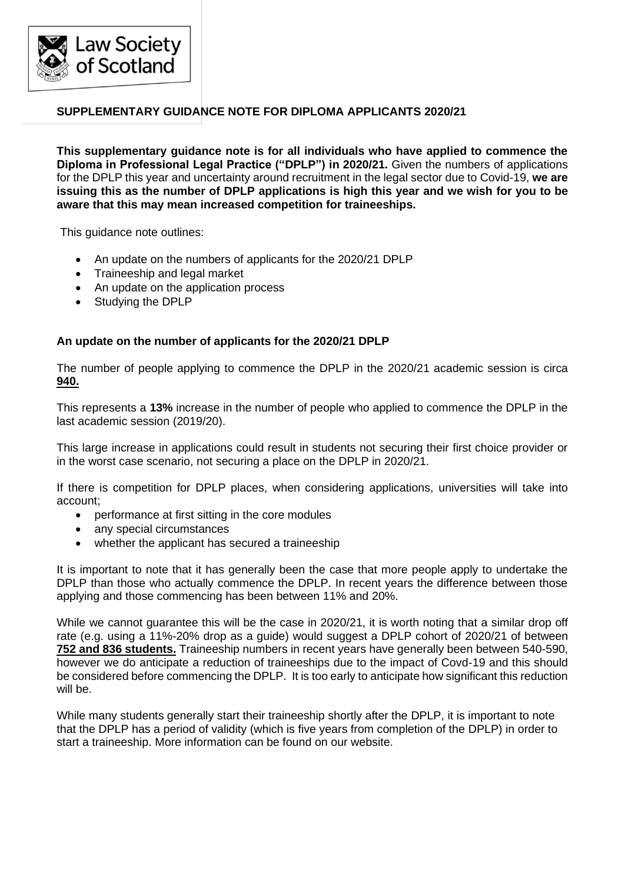

# **SUPPLEMENTARY GUIDANCE NOTE FOR DIPLOMA APPLICANTS 2020/21**

**This supplementary guidance note is for all individuals who have applied to commence the Diploma in Professional Legal Practice ("DPLP") in 2020/21.** Given the numbers of applications for the DPLP this year and uncertainty around recruitment in the legal sector due to Covid-19, **we are issuing this as the number of DPLP applications is high this year and we wish for you to be aware that this may mean increased competition for traineeships.**

This guidance note outlines:

- An update on the numbers of applicants for the 2020/21 DPLP
- Traineeship and legal market
- An update on the application process
- Studying the DPLP

# **An update on the number of applicants for the 2020/21 DPLP**

The number of people applying to commence the DPLP in the 2020/21 academic session is circa **940.**

This represents a **13%** increase in the number of people who applied to commence the DPLP in the last academic session (2019/20).

This large increase in applications could result in students not securing their first choice provider or in the worst case scenario, not securing a place on the DPLP in 2020/21.

If there is competition for DPLP places, when considering applications, universities will take into account;

- performance at first sitting in the core modules
- any special circumstances
- whether the applicant has secured a traineeship

It is important to note that it has generally been the case that more people apply to undertake the DPLP than those who actually commence the DPLP. In recent years the difference between those applying and those commencing has been between 11% and 20%.

While we cannot guarantee this will be the case in 2020/21, it is worth noting that a similar drop off rate (e.g. using a 11%-20% drop as a guide) would suggest a DPLP cohort of 2020/21 of between **752 and 836 students.** Traineeship numbers in recent years have generally been between 540-590, however we do anticipate a reduction of traineeships due to the impact of Covd-19 and this should be considered before commencing the DPLP. It is too early to anticipate how significant this reduction will be.

While many students generally start their traineeship shortly after the DPLP, it is important to note that the DPLP has a period of validity (which is five years from completion of the DPLP) in order to start a traineeship. More information can be found on our website.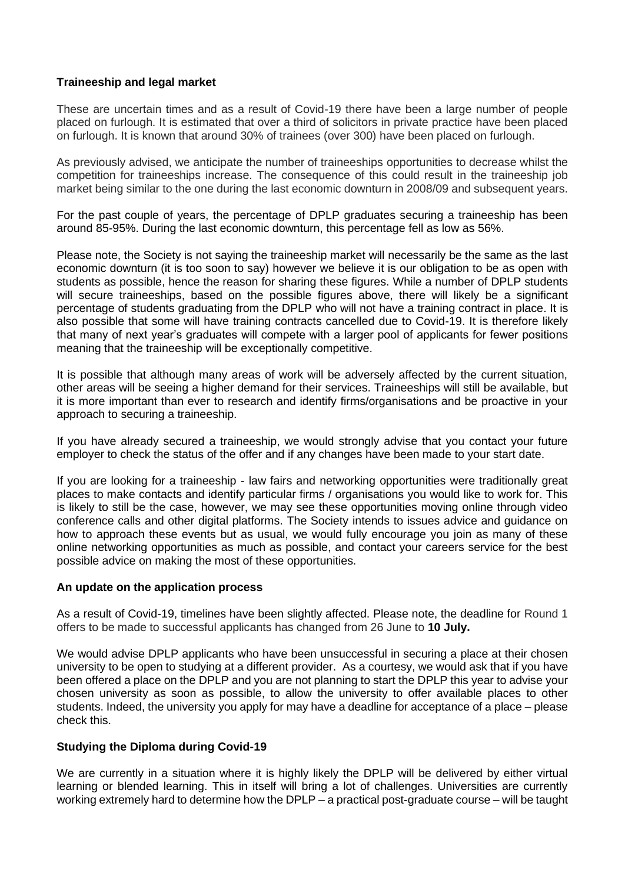# **Traineeship and legal market**

These are uncertain times and as a result of Covid-19 there have been a large number of people placed on furlough. It is estimated that over a third of solicitors in private practice have been placed on furlough. It is known that around 30% of trainees (over 300) have been placed on furlough.

As previously advised, we anticipate the number of traineeships opportunities to decrease whilst the competition for traineeships increase. The consequence of this could result in the traineeship job market being similar to the one during the last economic downturn in 2008/09 and subsequent years.

For the past couple of years, the percentage of DPLP graduates securing a traineeship has been around 85-95%. During the last economic downturn, this percentage fell as low as 56%.

Please note, the Society is not saying the traineeship market will necessarily be the same as the last economic downturn (it is too soon to say) however we believe it is our obligation to be as open with students as possible, hence the reason for sharing these figures. While a number of DPLP students will secure traineeships, based on the possible figures above, there will likely be a significant percentage of students graduating from the DPLP who will not have a training contract in place. It is also possible that some will have training contracts cancelled due to Covid-19. It is therefore likely that many of next year's graduates will compete with a larger pool of applicants for fewer positions meaning that the traineeship will be exceptionally competitive.

It is possible that although many areas of work will be adversely affected by the current situation, other areas will be seeing a higher demand for their services. Traineeships will still be available, but it is more important than ever to research and identify firms/organisations and be proactive in your approach to securing a traineeship.

If you have already secured a traineeship, we would strongly advise that you contact your future employer to check the status of the offer and if any changes have been made to your start date.

If you are looking for a traineeship - law fairs and networking opportunities were traditionally great places to make contacts and identify particular firms / organisations you would like to work for. This is likely to still be the case, however, we may see these opportunities moving online through video conference calls and other digital platforms. The Society intends to issues advice and guidance on how to approach these events but as usual, we would fully encourage you join as many of these online networking opportunities as much as possible, and contact your careers service for the best possible advice on making the most of these opportunities.

#### **An update on the application process**

As a result of Covid-19, timelines have been slightly affected. Please note, the deadline for Round 1 offers to be made to successful applicants has changed from 26 June to **10 July.**

We would advise DPLP applicants who have been unsuccessful in securing a place at their chosen university to be open to studying at a different provider. As a courtesy, we would ask that if you have been offered a place on the DPLP and you are not planning to start the DPLP this year to advise your chosen university as soon as possible, to allow the university to offer available places to other students. Indeed, the university you apply for may have a deadline for acceptance of a place – please check this.

# **Studying the Diploma during Covid-19**

We are currently in a situation where it is highly likely the DPLP will be delivered by either virtual learning or blended learning. This in itself will bring a lot of challenges. Universities are currently working extremely hard to determine how the DPLP – a practical post-graduate course – will be taught